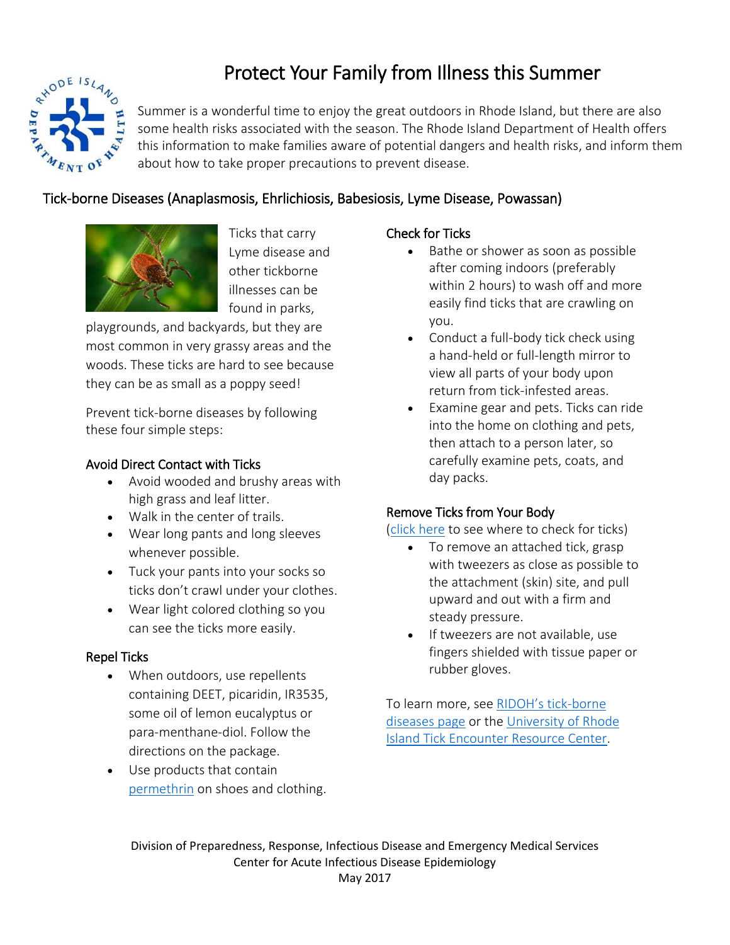

# Protect Your Family from Illness this Summer

Summer is a wonderful time to enjoy the great outdoors in Rhode Island, but there are also some health risks associated with the season. The Rhode Island Department of Health offers this information to make families aware of potential dangers and health risks, and inform them about how to take proper precautions to prevent disease.

### Tick-borne Diseases (Anaplasmosis, Ehrlichiosis, Babesiosis, Lyme Disease, Powassan)



Ticks that carry Lyme disease and other tickborne illnesses can be found in parks,

playgrounds, and backyards, but they are most common in very grassy areas and the woods. These ticks are hard to see because they can be as small as a poppy seed!

Prevent tick-borne diseases by following these four simple steps:

### Avoid Direct Contact with Ticks

- Avoid wooded and brushy areas with high grass and leaf litter.
- Walk in the center of trails.
- Wear long pants and long sleeves whenever possible.
- Tuck your pants into your socks so ticks don't crawl under your clothes.
- Wear light colored clothing so you can see the ticks more easily.

### Repel Ticks

- When outdoors, use repellents containing DEET, picaridin, IR3535, some oil of lemon eucalyptus or para-menthane-diol. Follow the directions on the package.
- Use products that contain [permethrin](http://www.tickencounter.org/prevention/permethrin) on shoes and clothing.

### Check for Ticks

- Bathe or shower as soon as possible after coming indoors (preferably within 2 hours) to wash off and more easily find ticks that are crawling on you.
- Conduct a full-body tick check using a hand-held or full-length mirror to view all parts of your body upon return from tick-infested areas.
- Examine gear and pets. Ticks can ride into the home on clothing and pets, then attach to a person later, so carefully examine pets, coats, and day packs.

### [Remove Ticks](http://health.ri.gov/publications/posters/IsThereATickOnYouposter.pdf) from Your Body

[\(click here](http://health.ri.gov/publications/posters/IsThereATickOnYouposter.pdf) to see where to check for ticks)

- To remove an attached tick, grasp with tweezers as close as possible to the attachment (skin) site, and pull upward and out with a firm and steady pressure.
- If tweezers are not available, use fingers shielded with tissue paper or rubber gloves.

To learn more, see [RIDOH's tick](http://health.ri.gov/disease/carriers/ticks/)-borne [diseases page](http://health.ri.gov/disease/carriers/ticks/) or the University of Rhode [Island Tick Encounter Resource Center.](http://www.tickencounter.org/)

Division of Preparedness, Response, Infectious Disease and Emergency Medical Services Center for Acute Infectious Disease Epidemiology May 2017